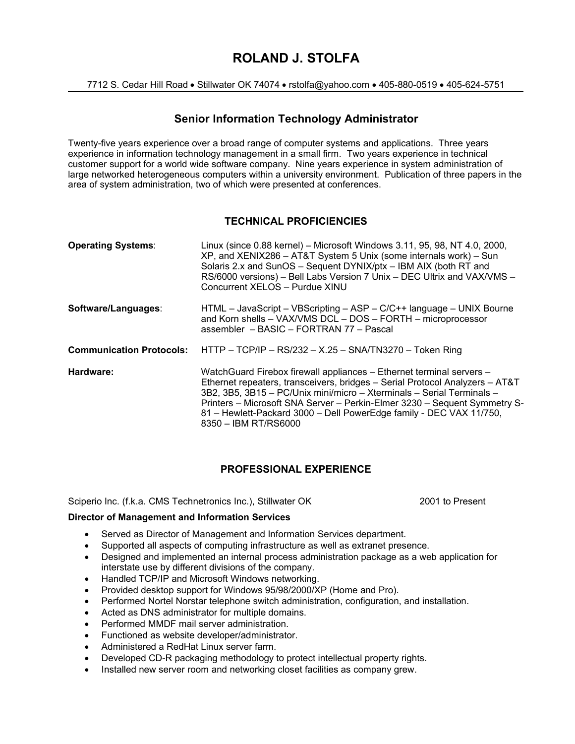# **ROLAND J. STOLFA**

7712 S. Cedar Hill Road • Stillwater OK 74074 • rstolfa@yahoo.com • 405-880-0519 • 405-624-5751

# **Senior Information Technology Administrator**

Twenty-five years experience over a broad range of computer systems and applications. Three years experience in information technology management in a small firm. Two years experience in technical customer support for a world wide software company. Nine years experience in system administration of large networked heterogeneous computers within a university environment. Publication of three papers in the area of system administration, two of which were presented at conferences.

# **TECHNICAL PROFICIENCIES**

| <b>Operating Systems:</b>       | Linux (since 0.88 kernel) - Microsoft Windows 3.11, 95, 98, NT 4.0, 2000,<br>XP, and XENIX286 - AT&T System 5 Unix (some internals work) - Sun<br>Solaris 2.x and SunOS - Sequent DYNIX/ptx - IBM AIX (both RT and<br>RS/6000 versions) - Bell Labs Version 7 Unix - DEC Ultrix and VAX/VMS -<br>Concurrent XELOS - Purdue XINU                                                                           |
|---------------------------------|-----------------------------------------------------------------------------------------------------------------------------------------------------------------------------------------------------------------------------------------------------------------------------------------------------------------------------------------------------------------------------------------------------------|
| Software/Languages:             | $HTML - JavaScript - VBScripting - ASP - C/C++ language - UNIX Bourne$<br>and Korn shells - VAX/VMS DCL - DOS - FORTH - microprocessor<br>assembler - BASIC - FORTRAN 77 - Pascal                                                                                                                                                                                                                         |
| <b>Communication Protocols:</b> | HTTP - TCP/IP - RS/232 - X.25 - SNA/TN3270 - Token Ring                                                                                                                                                                                                                                                                                                                                                   |
| Hardware:                       | WatchGuard Firebox firewall appliances - Ethernet terminal servers -<br>Ethernet repeaters, transceivers, bridges - Serial Protocol Analyzers - AT&T<br>3B2, 3B5, 3B15 - PC/Unix mini/micro - Xterminals - Serial Terminals -<br>Printers – Microsoft SNA Server – Perkin-Elmer 3230 – Sequent Symmetry S-<br>81 - Hewlett-Packard 3000 - Dell PowerEdge family - DEC VAX 11/750,<br>8350 - IBM RT/RS6000 |

# **PROFESSIONAL EXPERIENCE**

Sciperio Inc. (f.k.a. CMS Technetronics Inc.), Stillwater OK 2001 to Present

## **Director of Management and Information Services**

- Served as Director of Management and Information Services department.
- Supported all aspects of computing infrastructure as well as extranet presence.
- Designed and implemented an internal process administration package as a web application for interstate use by different divisions of the company.
- Handled TCP/IP and Microsoft Windows networking.
- Provided desktop support for Windows 95/98/2000/XP (Home and Pro).
- Performed Nortel Norstar telephone switch administration, configuration, and installation.
- Acted as DNS administrator for multiple domains.
- Performed MMDF mail server administration.
- Functioned as website developer/administrator.
- Administered a RedHat Linux server farm.
- Developed CD-R packaging methodology to protect intellectual property rights.
- Installed new server room and networking closet facilities as company grew.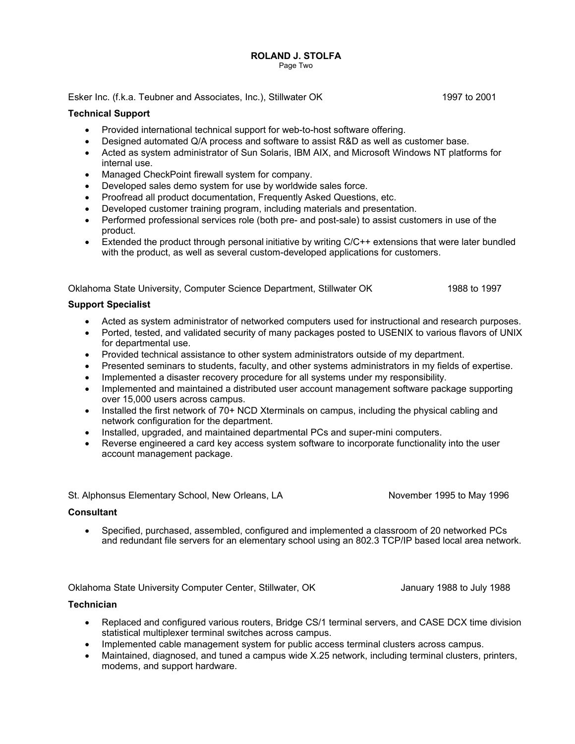# **ROLAND J. STOLFA**

Page Two

Esker Inc. (f.k.a. Teubner and Associates, Inc.), Stillwater OK 1997 to 2001

# **Technical Support**

- Provided international technical support for web-to-host software offering.
- Designed automated Q/A process and software to assist R&D as well as customer base.
- Acted as system administrator of Sun Solaris, IBM AIX, and Microsoft Windows NT platforms for internal use.
- Managed CheckPoint firewall system for company.
- Developed sales demo system for use by worldwide sales force.
- Proofread all product documentation, Frequently Asked Questions, etc.
- Developed customer training program, including materials and presentation.
- Performed professional services role (both pre- and post-sale) to assist customers in use of the product.
- Extended the product through personal initiative by writing C/C++ extensions that were later bundled with the product, as well as several custom-developed applications for customers.

Oklahoma State University, Computer Science Department, Stillwater OK 1988 to 1997

## **Support Specialist**

- Acted as system administrator of networked computers used for instructional and research purposes.
- Ported, tested, and validated security of many packages posted to USENIX to various flavors of UNIX for departmental use.
- Provided technical assistance to other system administrators outside of my department.
- Presented seminars to students, faculty, and other systems administrators in my fields of expertise.
- Implemented a disaster recovery procedure for all systems under my responsibility.
- Implemented and maintained a distributed user account management software package supporting over 15,000 users across campus.
- Installed the first network of 70+ NCD Xterminals on campus, including the physical cabling and network configuration for the department.
- Installed, upgraded, and maintained departmental PCs and super-mini computers.
- Reverse engineered a card key access system software to incorporate functionality into the user account management package.

St. Alphonsus Elementary School, New Orleans, LA November 1995 to May 1996

### **Consultant**

 Specified, purchased, assembled, configured and implemented a classroom of 20 networked PCs and redundant file servers for an elementary school using an 802.3 TCP/IP based local area network.

Oklahoma State University Computer Center, Stillwater, OK January 1988 to July 1988

## **Technician**

- Replaced and configured various routers, Bridge CS/1 terminal servers, and CASE DCX time division statistical multiplexer terminal switches across campus.
- Implemented cable management system for public access terminal clusters across campus.
- Maintained, diagnosed, and tuned a campus wide X.25 network, including terminal clusters, printers, modems, and support hardware.